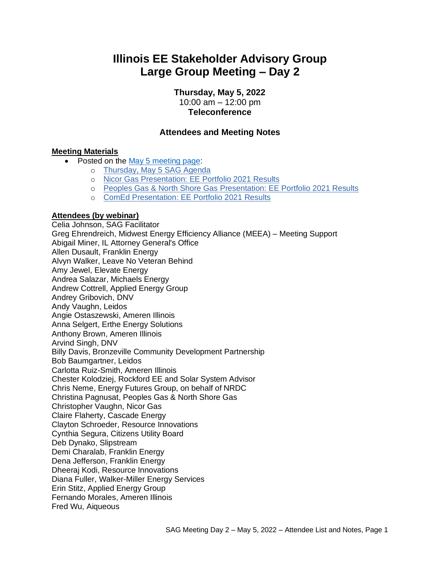# **Illinois EE Stakeholder Advisory Group Large Group Meeting – Day 2**

**Thursday, May 5, 2022**

10:00 am – 12:00 pm **Teleconference**

### **Attendees and Meeting Notes**

#### **Meeting Materials**

- Posted on the [May 5 meeting page:](https://www.ilsag.info/event/thursday-may-5-q2-sag-meeting-day-2/)
	- o [Thursday, May 5 SAG Agenda](https://ilsag.s3.amazonaws.com/SAG_Q2-Meeting_Agenda_May-5-2022_Finalv3.pdf)
	- o [Nicor Gas Presentation: EE Portfolio 2021 Results](https://ilsag.s3.amazonaws.com/Nicor-Gas-PY2021-SAG-Portfolio-Overview_May-2022.pdf)
	- o [Peoples Gas & North Shore Gas Presentation: EE Portfolio 2021 Results](https://ilsag.s3.amazonaws.com/PGL-NSG-2018-2021-SAG-Review_05042022.pdf)
	- o [ComEd Presentation: EE Portfolio 2021 Results](https://ilsag.s3.amazonaws.com/May-2022-SAG-Meeting_ComEd-2021-Report-Out.pdf)

#### **Attendees (by webinar)**

Celia Johnson, SAG Facilitator Greg Ehrendreich, Midwest Energy Efficiency Alliance (MEEA) – Meeting Support Abigail Miner, IL Attorney General's Office Allen Dusault, Franklin Energy Alvyn Walker, Leave No Veteran Behind Amy Jewel, Elevate Energy Andrea Salazar, Michaels Energy Andrew Cottrell, Applied Energy Group Andrey Gribovich, DNV Andy Vaughn, Leidos Angie Ostaszewski, Ameren Illinois Anna Selgert, Erthe Energy Solutions Anthony Brown, Ameren Illinois Arvind Singh, DNV Billy Davis, Bronzeville Community Development Partnership Bob Baumgartner, Leidos Carlotta Ruiz-Smith, Ameren Illinois Chester Kolodziej, Rockford EE and Solar System Advisor Chris Neme, Energy Futures Group, on behalf of NRDC Christina Pagnusat, Peoples Gas & North Shore Gas Christopher Vaughn, Nicor Gas Claire Flaherty, Cascade Energy Clayton Schroeder, Resource Innovations Cynthia Segura, Citizens Utility Board Deb Dynako, Slipstream Demi Charalab, Franklin Energy Dena Jefferson, Franklin Energy Dheeraj Kodi, Resource Innovations Diana Fuller, Walker-Miller Energy Services Erin Stitz, Applied Energy Group Fernando Morales, Ameren Illinois Fred Wu, Aiqueous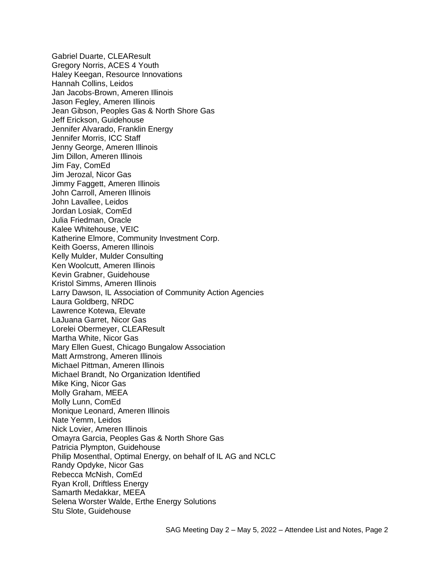Gabriel Duarte, CLEAResult Gregory Norris, ACES 4 Youth Haley Keegan, Resource Innovations Hannah Collins, Leidos Jan Jacobs-Brown, Ameren Illinois Jason Fegley, Ameren Illinois Jean Gibson, Peoples Gas & North Shore Gas Jeff Erickson, Guidehouse Jennifer Alvarado, Franklin Energy Jennifer Morris, ICC Staff Jenny George, Ameren Illinois Jim Dillon, Ameren Illinois Jim Fay, ComEd Jim Jerozal, Nicor Gas Jimmy Faggett, Ameren Illinois John Carroll, Ameren Illinois John Lavallee, Leidos Jordan Losiak, ComEd Julia Friedman, Oracle Kalee Whitehouse, VEIC Katherine Elmore, Community Investment Corp. Keith Goerss, Ameren Illinois Kelly Mulder, Mulder Consulting Ken Woolcutt, Ameren Illinois Kevin Grabner, Guidehouse Kristol Simms, Ameren Illinois Larry Dawson, IL Association of Community Action Agencies Laura Goldberg, NRDC Lawrence Kotewa, Elevate LaJuana Garret, Nicor Gas Lorelei Obermeyer, CLEAResult Martha White, Nicor Gas Mary Ellen Guest, Chicago Bungalow Association Matt Armstrong, Ameren Illinois Michael Pittman, Ameren Illinois Michael Brandt, No Organization Identified Mike King, Nicor Gas Molly Graham, MEEA Molly Lunn, ComEd Monique Leonard, Ameren Illinois Nate Yemm, Leidos Nick Lovier, Ameren Illinois Omayra Garcia, Peoples Gas & North Shore Gas Patricia Plympton, Guidehouse Philip Mosenthal, Optimal Energy, on behalf of IL AG and NCLC Randy Opdyke, Nicor Gas Rebecca McNish, ComEd Ryan Kroll, Driftless Energy Samarth Medakkar, MEEA Selena Worster Walde, Erthe Energy Solutions Stu Slote, Guidehouse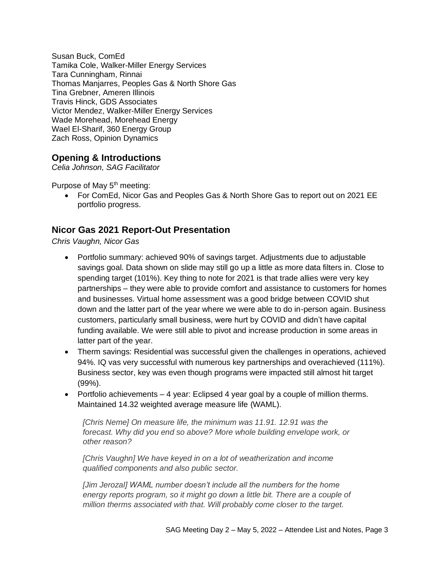Susan Buck, ComEd Tamika Cole, Walker-Miller Energy Services Tara Cunningham, Rinnai Thomas Manjarres, Peoples Gas & North Shore Gas Tina Grebner, Ameren Illinois Travis Hinck, GDS Associates Victor Mendez, Walker-Miller Energy Services Wade Morehead, Morehead Energy Wael El-Sharif, 360 Energy Group Zach Ross, Opinion Dynamics

### **Opening & Introductions**

*Celia Johnson, SAG Facilitator*

Purpose of May 5<sup>th</sup> meeting:

• For ComEd, Nicor Gas and Peoples Gas & North Shore Gas to report out on 2021 EE portfolio progress.

### **Nicor Gas 2021 Report-Out Presentation**

*Chris Vaughn, Nicor Gas*

- Portfolio summary: achieved 90% of savings target. Adjustments due to adjustable savings goal. Data shown on slide may still go up a little as more data filters in. Close to spending target (101%). Key thing to note for 2021 is that trade allies were very key partnerships – they were able to provide comfort and assistance to customers for homes and businesses. Virtual home assessment was a good bridge between COVID shut down and the latter part of the year where we were able to do in-person again. Business customers, particularly small business, were hurt by COVID and didn't have capital funding available. We were still able to pivot and increase production in some areas in latter part of the year.
- Therm savings: Residential was successful given the challenges in operations, achieved 94%. IQ vas very successful with numerous key partnerships and overachieved (111%). Business sector, key was even though programs were impacted still almost hit target (99%).
- Portfolio achievements  $-4$  year: Eclipsed 4 year goal by a couple of million therms. Maintained 14.32 weighted average measure life (WAML).

*[Chris Neme] On measure life, the minimum was 11.91. 12.91 was the*  forecast. Why did you end so above? More whole building envelope work, or *other reason?*

*[Chris Vaughn] We have keyed in on a lot of weatherization and income qualified components and also public sector.* 

*[Jim Jerozal] WAML number doesn't include all the numbers for the home energy reports program, so it might go down a little bit. There are a couple of million therms associated with that. Will probably come closer to the target.*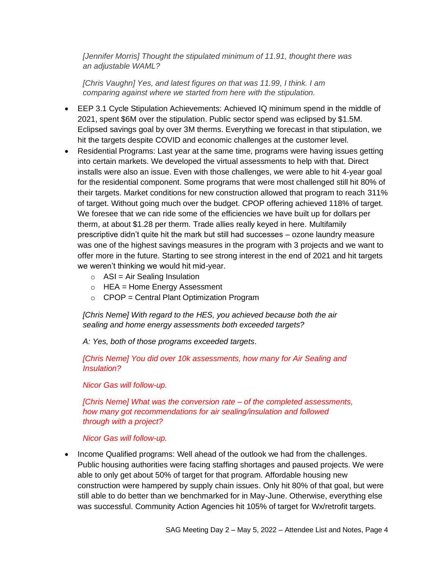*[Jennifer Morris] Thought the stipulated minimum of 11.91, thought there was an adjustable WAML?*

*[Chris Vaughn] Yes, and latest figures on that was 11.99, I think. I am comparing against where we started from here with the stipulation.*

- EEP 3.1 Cycle Stipulation Achievements: Achieved IQ minimum spend in the middle of 2021, spent \$6M over the stipulation. Public sector spend was eclipsed by \$1.5M. Eclipsed savings goal by over 3M therms. Everything we forecast in that stipulation, we hit the targets despite COVID and economic challenges at the customer level.
- Residential Programs: Last year at the same time, programs were having issues getting into certain markets. We developed the virtual assessments to help with that. Direct installs were also an issue. Even with those challenges, we were able to hit 4-year goal for the residential component. Some programs that were most challenged still hit 80% of their targets. Market conditions for new construction allowed that program to reach 311% of target. Without going much over the budget. CPOP offering achieved 118% of target. We foresee that we can ride some of the efficiencies we have built up for dollars per therm, at about \$1.28 per therm. Trade allies really keyed in here. Multifamily prescriptive didn't quite hit the mark but still had successes – ozone laundry measure was one of the highest savings measures in the program with 3 projects and we want to offer more in the future. Starting to see strong interest in the end of 2021 and hit targets we weren't thinking we would hit mid-year.
	- $\circ$  ASI = Air Sealing Insulation
	- $\circ$  HEA = Home Energy Assessment
	- $\circ$  CPOP = Central Plant Optimization Program

*[Chris Neme] With regard to the HES, you achieved because both the air sealing and home energy assessments both exceeded targets?* 

*A: Yes, both of those programs exceeded targets.*

*[Chris Neme] You did over 10k assessments, how many for Air Sealing and Insulation?* 

*Nicor Gas will follow-up.*

*[Chris Neme] What was the conversion rate – of the completed assessments, how many got recommendations for air sealing/insulation and followed through with a project?* 

*Nicor Gas will follow-up.*

• Income Qualified programs: Well ahead of the outlook we had from the challenges. Public housing authorities were facing staffing shortages and paused projects. We were able to only get about 50% of target for that program. Affordable housing new construction were hampered by supply chain issues. Only hit 80% of that goal, but were still able to do better than we benchmarked for in May-June. Otherwise, everything else was successful. Community Action Agencies hit 105% of target for Wx/retrofit targets.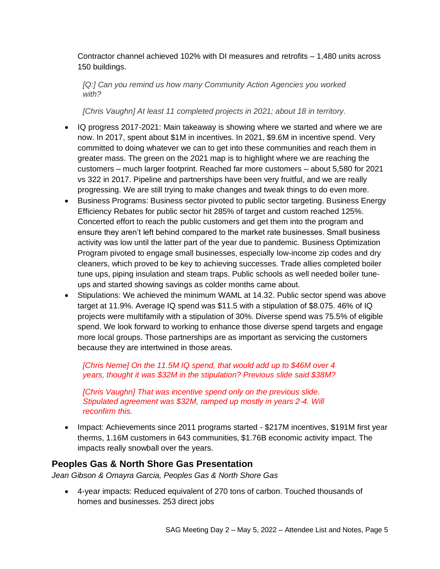Contractor channel achieved 102% with DI measures and retrofits – 1,480 units across 150 buildings.

*[Q:] Can you remind us how many Community Action Agencies you worked with?* 

*[Chris Vaughn] At least 11 completed projects in 2021; about 18 in territory.*

- IQ progress 2017-2021: Main takeaway is showing where we started and where we are now. In 2017, spent about \$1M in incentives. In 2021, \$9.6M in incentive spend. Very committed to doing whatever we can to get into these communities and reach them in greater mass. The green on the 2021 map is to highlight where we are reaching the customers – much larger footprint. Reached far more customers – about 5,580 for 2021 vs 322 in 2017. Pipeline and partnerships have been very fruitful, and we are really progressing. We are still trying to make changes and tweak things to do even more.
- Business Programs: Business sector pivoted to public sector targeting. Business Energy Efficiency Rebates for public sector hit 285% of target and custom reached 125%. Concerted effort to reach the public customers and get them into the program and ensure they aren't left behind compared to the market rate businesses. Small business activity was low until the latter part of the year due to pandemic. Business Optimization Program pivoted to engage small businesses, especially low-income zip codes and dry cleaners, which proved to be key to achieving successes. Trade allies completed boiler tune ups, piping insulation and steam traps. Public schools as well needed boiler tuneups and started showing savings as colder months came about.
- Stipulations: We achieved the minimum WAML at 14.32. Public sector spend was above target at 11.9%. Average IQ spend was \$11.5 with a stipulation of \$8.075. 46% of IQ projects were multifamily with a stipulation of 30%. Diverse spend was 75.5% of eligible spend. We look forward to working to enhance those diverse spend targets and engage more local groups. Those partnerships are as important as servicing the customers because they are intertwined in those areas.

*[Chris Neme] On the 11.5M IQ spend, that would add up to \$46M over 4 years, thought it was \$32M in the stipulation? Previous slide said \$38M?*

*[Chris Vaughn] That was incentive spend only on the previous slide. Stipulated agreement was \$32M, ramped up mostly in years 2-4. Will reconfirm this.*

• Impact: Achievements since 2011 programs started - \$217M incentives, \$191M first year therms, 1.16M customers in 643 communities, \$1.76B economic activity impact. The impacts really snowball over the years.

### **Peoples Gas & North Shore Gas Presentation**

*Jean Gibson & Omayra Garcia, Peoples Gas & North Shore Gas*

• 4-year impacts: Reduced equivalent of 270 tons of carbon. Touched thousands of homes and businesses. 253 direct jobs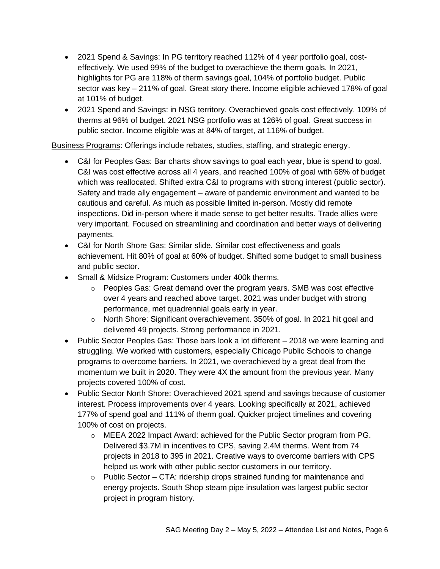- 2021 Spend & Savings: In PG territory reached 112% of 4 year portfolio goal, costeffectively. We used 99% of the budget to overachieve the therm goals. In 2021, highlights for PG are 118% of therm savings goal, 104% of portfolio budget. Public sector was key – 211% of goal. Great story there. Income eligible achieved 178% of goal at 101% of budget.
- 2021 Spend and Savings: in NSG territory. Overachieved goals cost effectively. 109% of therms at 96% of budget. 2021 NSG portfolio was at 126% of goal. Great success in public sector. Income eligible was at 84% of target, at 116% of budget.

Business Programs: Offerings include rebates, studies, staffing, and strategic energy.

- C&I for Peoples Gas: Bar charts show savings to goal each year, blue is spend to goal. C&I was cost effective across all 4 years, and reached 100% of goal with 68% of budget which was reallocated. Shifted extra C&I to programs with strong interest (public sector). Safety and trade ally engagement – aware of pandemic environment and wanted to be cautious and careful. As much as possible limited in-person. Mostly did remote inspections. Did in-person where it made sense to get better results. Trade allies were very important. Focused on streamlining and coordination and better ways of delivering payments.
- C&I for North Shore Gas: Similar slide. Similar cost effectiveness and goals achievement. Hit 80% of goal at 60% of budget. Shifted some budget to small business and public sector.
- Small & Midsize Program: Customers under 400k therms.
	- $\circ$  Peoples Gas: Great demand over the program years. SMB was cost effective over 4 years and reached above target. 2021 was under budget with strong performance, met quadrennial goals early in year.
	- o North Shore: Significant overachievement. 350% of goal. In 2021 hit goal and delivered 49 projects. Strong performance in 2021.
- Public Sector Peoples Gas: Those bars look a lot different 2018 we were learning and struggling. We worked with customers, especially Chicago Public Schools to change programs to overcome barriers. In 2021, we overachieved by a great deal from the momentum we built in 2020. They were 4X the amount from the previous year. Many projects covered 100% of cost.
- Public Sector North Shore: Overachieved 2021 spend and savings because of customer interest. Process improvements over 4 years. Looking specifically at 2021, achieved 177% of spend goal and 111% of therm goal. Quicker project timelines and covering 100% of cost on projects.
	- o MEEA 2022 Impact Award: achieved for the Public Sector program from PG. Delivered \$3.7M in incentives to CPS, saving 2.4M therms. Went from 74 projects in 2018 to 395 in 2021. Creative ways to overcome barriers with CPS helped us work with other public sector customers in our territory.
	- $\circ$  Public Sector CTA: ridership drops strained funding for maintenance and energy projects. South Shop steam pipe insulation was largest public sector project in program history.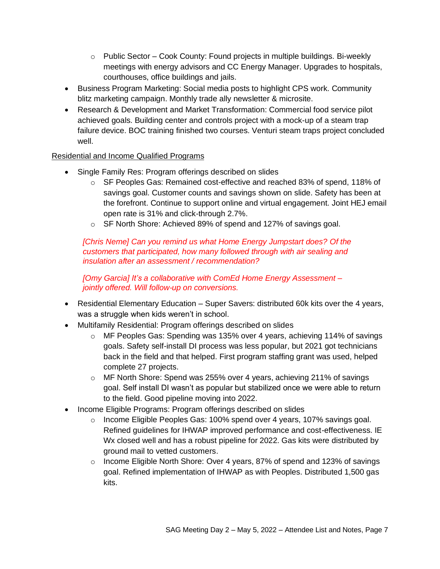- o Public Sector Cook County: Found projects in multiple buildings. Bi-weekly meetings with energy advisors and CC Energy Manager. Upgrades to hospitals, courthouses, office buildings and jails.
- Business Program Marketing: Social media posts to highlight CPS work. Community blitz marketing campaign. Monthly trade ally newsletter & microsite.
- Research & Development and Market Transformation: Commercial food service pilot achieved goals. Building center and controls project with a mock-up of a steam trap failure device. BOC training finished two courses. Venturi steam traps project concluded well.

### Residential and Income Qualified Programs

- Single Family Res: Program offerings described on slides
	- o SF Peoples Gas: Remained cost-effective and reached 83% of spend, 118% of savings goal. Customer counts and savings shown on slide. Safety has been at the forefront. Continue to support online and virtual engagement. Joint HEJ email open rate is 31% and click-through 2.7%.
	- o SF North Shore: Achieved 89% of spend and 127% of savings goal.

*[Chris Neme] Can you remind us what Home Energy Jumpstart does? Of the customers that participated, how many followed through with air sealing and insulation after an assessment / recommendation?*

*[Omy Garcia] It's a collaborative with ComEd Home Energy Assessment – jointly offered. Will follow-up on conversions.*

- Residential Elementary Education Super Savers: distributed 60k kits over the 4 years, was a struggle when kids weren't in school.
- Multifamily Residential: Program offerings described on slides
	- o MF Peoples Gas: Spending was 135% over 4 years, achieving 114% of savings goals. Safety self-install DI process was less popular, but 2021 got technicians back in the field and that helped. First program staffing grant was used, helped complete 27 projects.
	- o MF North Shore: Spend was 255% over 4 years, achieving 211% of savings goal. Self install DI wasn't as popular but stabilized once we were able to return to the field. Good pipeline moving into 2022.
- Income Eligible Programs: Program offerings described on slides
	- $\circ$  Income Eligible Peoples Gas: 100% spend over 4 years, 107% savings goal. Refined guidelines for IHWAP improved performance and cost-effectiveness. IE Wx closed well and has a robust pipeline for 2022. Gas kits were distributed by ground mail to vetted customers.
	- o Income Eligible North Shore: Over 4 years, 87% of spend and 123% of savings goal. Refined implementation of IHWAP as with Peoples. Distributed 1,500 gas kits.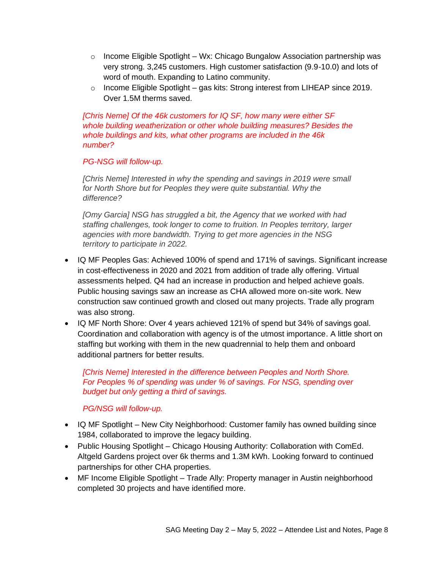- $\circ$  Income Eligible Spotlight Wx: Chicago Bungalow Association partnership was very strong. 3,245 customers. High customer satisfaction (9.9-10.0) and lots of word of mouth. Expanding to Latino community.
- o Income Eligible Spotlight gas kits: Strong interest from LIHEAP since 2019. Over 1.5M therms saved.

*[Chris Neme] Of the 46k customers for IQ SF, how many were either SF whole building weatherization or other whole building measures? Besides the whole buildings and kits, what other programs are included in the 46k number?*

#### *PG-NSG will follow-up.*

*[Chris Neme] Interested in why the spending and savings in 2019 were small for North Shore but for Peoples they were quite substantial. Why the difference?* 

*[Omy Garcia] NSG has struggled a bit, the Agency that we worked with had staffing challenges, took longer to come to fruition. In Peoples territory, larger agencies with more bandwidth. Trying to get more agencies in the NSG territory to participate in 2022.*

- IQ MF Peoples Gas: Achieved 100% of spend and 171% of savings. Significant increase in cost-effectiveness in 2020 and 2021 from addition of trade ally offering. Virtual assessments helped. Q4 had an increase in production and helped achieve goals. Public housing savings saw an increase as CHA allowed more on-site work. New construction saw continued growth and closed out many projects. Trade ally program was also strong.
- IQ MF North Shore: Over 4 years achieved 121% of spend but 34% of savings goal. Coordination and collaboration with agency is of the utmost importance. A little short on staffing but working with them in the new quadrennial to help them and onboard additional partners for better results.

*[Chris Neme] Interested in the difference between Peoples and North Shore. For Peoples % of spending was under % of savings. For NSG, spending over budget but only getting a third of savings.* 

#### *PG/NSG will follow-up.*

- IQ MF Spotlight New City Neighborhood: Customer family has owned building since 1984, collaborated to improve the legacy building.
- Public Housing Spotlight Chicago Housing Authority: Collaboration with ComEd. Altgeld Gardens project over 6k therms and 1.3M kWh. Looking forward to continued partnerships for other CHA properties.
- MF Income Eligible Spotlight Trade Ally: Property manager in Austin neighborhood completed 30 projects and have identified more.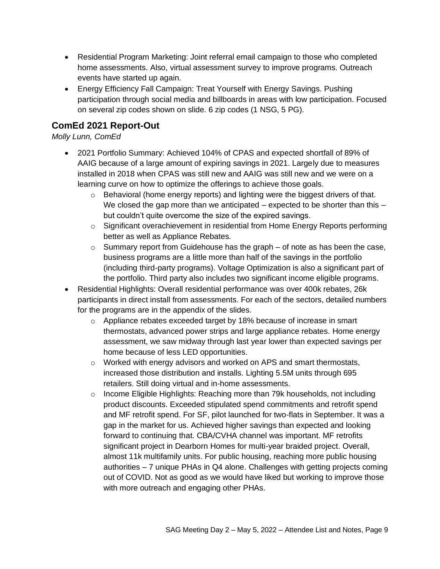- Residential Program Marketing: Joint referral email campaign to those who completed home assessments. Also, virtual assessment survey to improve programs. Outreach events have started up again.
- Energy Efficiency Fall Campaign: Treat Yourself with Energy Savings. Pushing participation through social media and billboards in areas with low participation. Focused on several zip codes shown on slide. 6 zip codes (1 NSG, 5 PG).

## **ComEd 2021 Report-Out**

### *Molly Lunn, ComEd*

- 2021 Portfolio Summary: Achieved 104% of CPAS and expected shortfall of 89% of AAIG because of a large amount of expiring savings in 2021. Largely due to measures installed in 2018 when CPAS was still new and AAIG was still new and we were on a learning curve on how to optimize the offerings to achieve those goals.
	- $\circ$  Behavioral (home energy reports) and lighting were the biggest drivers of that. We closed the gap more than we anticipated – expected to be shorter than this – but couldn't quite overcome the size of the expired savings.
	- $\circ$  Significant overachievement in residential from Home Energy Reports performing better as well as Appliance Rebates.
	- $\circ$  Summary report from Guidehouse has the graph of note as has been the case, business programs are a little more than half of the savings in the portfolio (including third-party programs). Voltage Optimization is also a significant part of the portfolio. Third party also includes two significant income eligible programs.
- Residential Highlights: Overall residential performance was over 400k rebates, 26k participants in direct install from assessments. For each of the sectors, detailed numbers for the programs are in the appendix of the slides.
	- o Appliance rebates exceeded target by 18% because of increase in smart thermostats, advanced power strips and large appliance rebates. Home energy assessment, we saw midway through last year lower than expected savings per home because of less LED opportunities.
	- $\circ$  Worked with energy advisors and worked on APS and smart thermostats, increased those distribution and installs. Lighting 5.5M units through 695 retailers. Still doing virtual and in-home assessments.
	- $\circ$  Income Eligible Highlights: Reaching more than 79k households, not including product discounts. Exceeded stipulated spend commitments and retrofit spend and MF retrofit spend. For SF, pilot launched for two-flats in September. It was a gap in the market for us. Achieved higher savings than expected and looking forward to continuing that. CBA/CVHA channel was important. MF retrofits significant project in Dearborn Homes for multi-year braided project. Overall, almost 11k multifamily units. For public housing, reaching more public housing authorities – 7 unique PHAs in Q4 alone. Challenges with getting projects coming out of COVID. Not as good as we would have liked but working to improve those with more outreach and engaging other PHAs.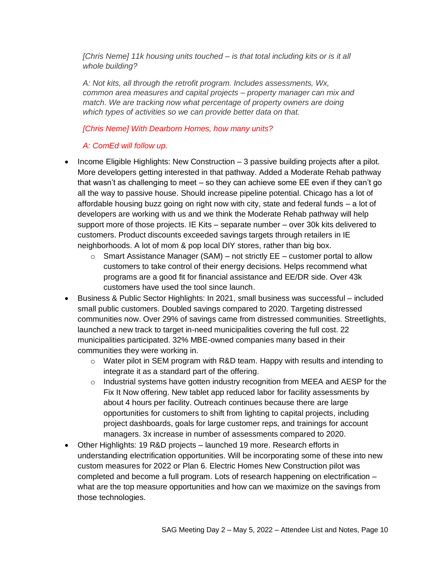*[Chris Neme] 11k housing units touched – is that total including kits or is it all whole building?* 

*A: Not kits, all through the retrofit program. Includes assessments, Wx, common area measures and capital projects – property manager can mix and*  match. We are tracking now what percentage of property owners are doing *which types of activities so we can provide better data on that.*

#### *[Chris Neme] With Dearborn Homes, how many units?*

*A: ComEd will follow up.*

- Income Eligible Highlights: New Construction 3 passive building projects after a pilot. More developers getting interested in that pathway. Added a Moderate Rehab pathway that wasn't as challenging to meet – so they can achieve some EE even if they can't go all the way to passive house. Should increase pipeline potential. Chicago has a lot of affordable housing buzz going on right now with city, state and federal funds – a lot of developers are working with us and we think the Moderate Rehab pathway will help support more of those projects. IE Kits – separate number – over 30k kits delivered to customers. Product discounts exceeded savings targets through retailers in IE neighborhoods. A lot of mom & pop local DIY stores, rather than big box.
	- $\circ$  Smart Assistance Manager (SAM) not strictly EE customer portal to allow customers to take control of their energy decisions. Helps recommend what programs are a good fit for financial assistance and EE/DR side. Over 43k customers have used the tool since launch.
- Business & Public Sector Highlights: In 2021, small business was successful included small public customers. Doubled savings compared to 2020. Targeting distressed communities now. Over 29% of savings came from distressed communities. Streetlights, launched a new track to target in-need municipalities covering the full cost. 22 municipalities participated. 32% MBE-owned companies many based in their communities they were working in.
	- $\circ$  Water pilot in SEM program with R&D team. Happy with results and intending to integrate it as a standard part of the offering.
	- $\circ$  Industrial systems have gotten industry recognition from MEEA and AESP for the Fix It Now offering. New tablet app reduced labor for facility assessments by about 4 hours per facility. Outreach continues because there are large opportunities for customers to shift from lighting to capital projects, including project dashboards, goals for large customer reps, and trainings for account managers. 3x increase in number of assessments compared to 2020.
- Other Highlights: 19 R&D projects launched 19 more. Research efforts in understanding electrification opportunities. Will be incorporating some of these into new custom measures for 2022 or Plan 6. Electric Homes New Construction pilot was completed and become a full program. Lots of research happening on electrification – what are the top measure opportunities and how can we maximize on the savings from those technologies.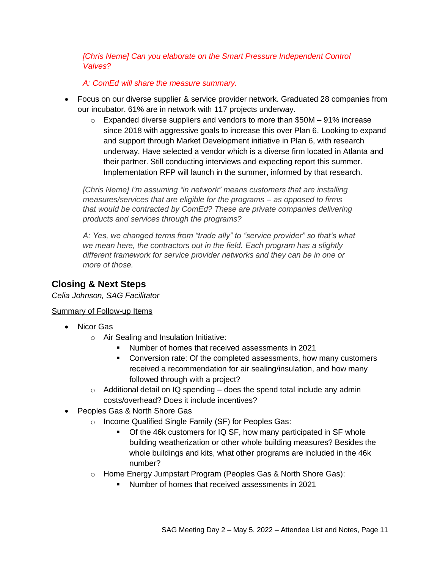*[Chris Neme] Can you elaborate on the Smart Pressure Independent Control Valves?*

*A: ComEd will share the measure summary.*

- Focus on our diverse supplier & service provider network. Graduated 28 companies from our incubator. 61% are in network with 117 projects underway.
	- $\circ$  Expanded diverse suppliers and vendors to more than \$50M 91% increase since 2018 with aggressive goals to increase this over Plan 6. Looking to expand and support through Market Development initiative in Plan 6, with research underway. Have selected a vendor which is a diverse firm located in Atlanta and their partner. Still conducting interviews and expecting report this summer. Implementation RFP will launch in the summer, informed by that research.

*[Chris Neme] I'm assuming "in network" means customers that are installing measures/services that are eligible for the programs – as opposed to firms that would be contracted by ComEd? These are private companies delivering products and services through the programs?*

*A: Yes, we changed terms from "trade ally" to "service provider" so that's what we mean here, the contractors out in the field. Each program has a slightly different framework for service provider networks and they can be in one or more of those.*

### **Closing & Next Steps**

*Celia Johnson, SAG Facilitator*

#### Summary of Follow-up Items

- Nicor Gas
	- o Air Sealing and Insulation Initiative:
		- Number of homes that received assessments in 2021
		- **Conversion rate: Of the completed assessments, how many customers** received a recommendation for air sealing/insulation, and how many followed through with a project?
	- $\circ$  Additional detail on IQ spending does the spend total include any admin costs/overhead? Does it include incentives?
- Peoples Gas & North Shore Gas
	- o Income Qualified Single Family (SF) for Peoples Gas:
		- Of the 46k customers for IQ SF, how many participated in SF whole building weatherization or other whole building measures? Besides the whole buildings and kits, what other programs are included in the 46k number?
	- o Home Energy Jumpstart Program (Peoples Gas & North Shore Gas):
		- Number of homes that received assessments in 2021